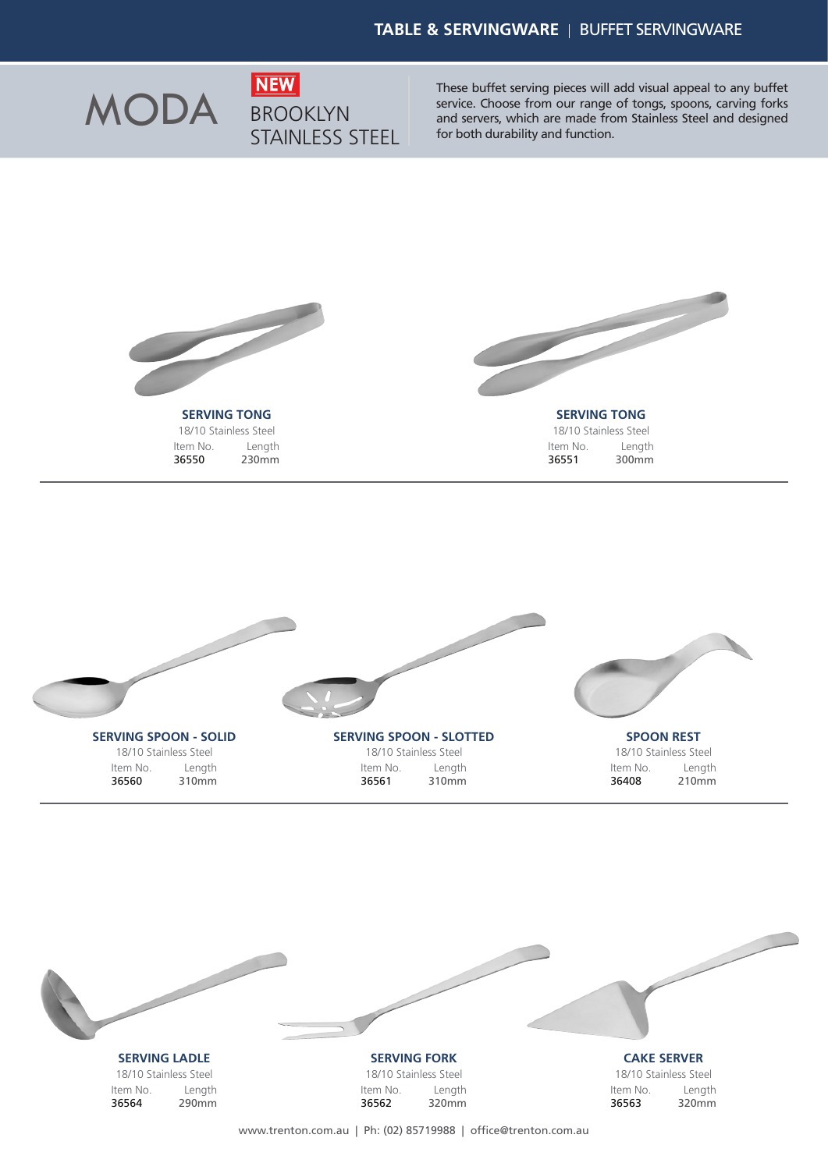

NEW STAINLESS STEEL

These buffet serving pieces will add visual appeal to any buffet service. Choose from our range of tongs, spoons, carving forks and servers, which are made from Stainless Steel and designed for both durability and function.



**SERVING TONG** 18/10 Stainless Steel Item No. 36550 230mm Length



**SERVING TONG** 18/10 Stainless Steel Item No. 36551 300mm Length





www.trenton.com.au | Ph: (02) 85719988 | office@trenton.com.au